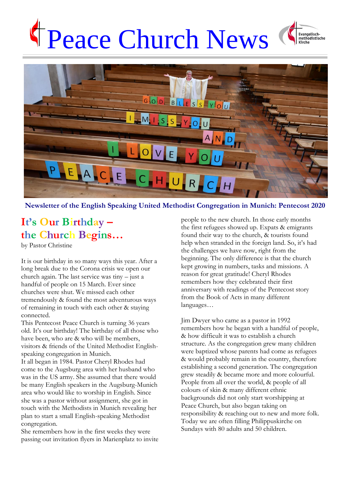# Peace Church News





#### **Newsletter of the English Speaking United Methodist Congregation in Munich: Pentecost 2020**

## **It's Our Birthday – the Church Begins…**

by Pastor Christine

It is our birthday in so many ways this year. After a long break due to the Corona crisis we open our church again. The last service was tiny – just a handful of people on 15 March. Ever since churches were shut. We missed each other tremendously & found the most adventurous ways of remaining in touch with each other & staying connected.

This Pentecost Peace Church is turning 36 years old. It's our birthday! The birthday of all those who have been, who are & who will be members, visitors & friends of the United Methodist Englishspeaking congregation in Munich.

It all began in 1984. Pastor Cheryl Rhodes had come to the Augsburg area with her husband who was in the US army. She assumed that there would be many English speakers in the Augsburg-Munich area who would like to worship in English. Since she was a pastor without assignment, she got in touch with the Methodists in Munich revealing her plan to start a small English-speaking Methodist congregation.

She remembers how in the first weeks they were passing out invitation flyers in Marienplatz to invite people to the new church. In those early months the first refugees showed up. Expats & emigrants found their way to the church, & tourists found help when stranded in the foreign land. So, it's had the challenges we have now, right from the beginning. The only difference is that the church kept growing in numbers, tasks and missions. A reason for great gratitude! Cheryl Rhodes remembers how they celebrated their first anniversary with readings of the Pentecost story from the Book of Acts in many different languages…

Jim Dwyer who came as a pastor in 1992 remembers how he began with a handful of people, & how difficult it was to establish a church structure. As the congregation grew many children were baptized whose parents had come as refugees & would probably remain in the country, therefore establishing a second generation. The congregation grew steadily & became more and more colourful. People from all over the world, & people of all colours of skin & many different ethnic backgrounds did not only start worshipping at Peace Church, but also began taking on responsibility & reaching out to new and more folk. Today we are often filling Philippuskirche on Sundays with 80 adults and 50 children.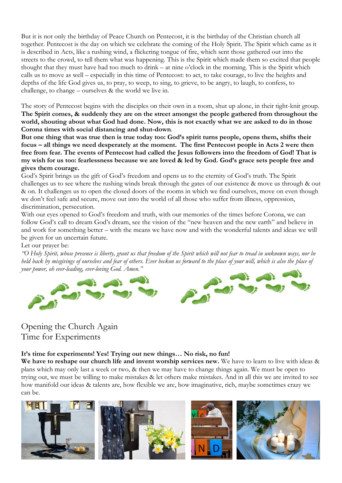But it is not only the birthday of Peace Church on Pentecost, it is the birthday of the Christian church all together. Pentecost is the day on which we celebrate the coming of the Holy Spirit. The Spirit which came as it is described in Acts, like a rushing wind, a flickering tongue of fire, which sent those gathered out into the streets to the crowd, to tell them what was happening. This is the Spirit which made them so excited that people thought that they must have had too much to drink – at nine o'clock in the morning. This is the Spirit which calls us to move as well – especially in this time of Pentecost: to act, to take courage, to live the heights and depths of the life God gives us, to pray, to weep, to sing, to grieve, to be angry, to laugh, to confess, to challenge, to change – ourselves & the world we live in.

The story of Pentecost begins with the disciples on their own in a room, shut up alone, in their tight-knit group. **The Spirit comes, & suddenly they are on the street amongst the people gathered from throughout the world, shouting about what God had done. Now, this is not exactly what we are asked to do in those Corona times with social distancing and shut-down**.

**But one thing that was true then is true today too: God's spirit turns people, opens them, shifts their focus – all things we need desperately at the moment. The first Pentecost people in Acts 2 were then free from fear. The events of Pentecost had called the Jesus followers into the freedom of God! That is my wish for us too: fearlessness because we are loved & led by God. God's grace sets people free and gives them courage.** 

God's Spirit brings us the gift of God's freedom and opens us to the eternity of God's truth. The Spirit challenges us to see where the rushing winds break through the gates of our existence & move us through & out & on. It challenges us to open the closed doors of the rooms in which we find ourselves, move on even though we don't feel safe and secure, move out into the world of all those who suffer from illness, oppression, discrimination, persecution.

With our eyes opened to God's freedom and truth, with our memories of the times before Corona, we can follow God's call to dream God's dream, see the vision of the "new heaven and the new earth" and believe in and work for something better – with the means we have now and with the wonderful talents and ideas we will be given for un uncertain future.

#### Let our prayer be:

*"O Holy Spirit, whose presence is liberty, grant us that freedom of the Spirit which will not fear to tread in unknown ways, nor be held back by misgivings of ourselves and fear of others. Ever beckon us forward to the place of your will, which is also the place of your power, oh ever-leading, ever-loving God. Amen."*



### Opening the Church Again Time for Experiments

#### **It's time for experiments! Yes! Trying out new things… No risk, no fun!**

**We have to reshape our church life and invent worship services new.** We have to learn to live with ideas & plans which may only last a week or two, & then we may have to change things again. We must be open to trying out, we must be willing to make mistakes & let others make mistakes. And in all this we are invited to see how manifold our ideas & talents are, how flexible we are, how imaginative, rich, maybe sometimes crazy we can be.

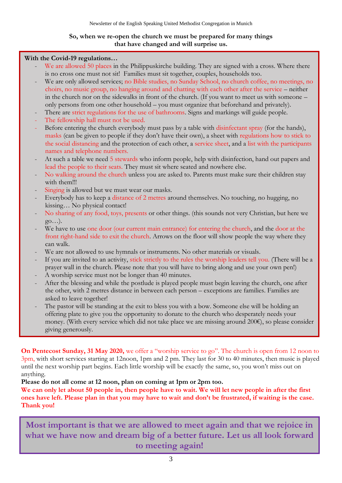#### **So, when we re-open the church we must be prepared for many things that have changed and will surprise us.**

#### **With the Covid-19 regulations…**

- We are allowed 50 places in the Philippuskirche building. They are signed with a cross. Where there is no cross one must not sit! Families must sit together, couples, households too.
- We are only allowed services; no Bible studies, no Sunday School, no church coffee, no meetings, no choirs, no music group, no hanging around and chatting with each other after the service – neither in the church nor on the sidewalks in front of the church. (If you want to meet us with someone – only persons from one other household – you must organize that beforehand and privately).
- There are strict regulations for the use of bathrooms. Signs and markings will guide people.
- The fellowship hall must not be used.
- Before entering the church everybody must pass by a table with disinfectant spray (for the hands), masks (can be given to people if they don't have their own), a sheet with regulations how to stick to the social distancing and the protection of each other, a service sheet, and a list with the participants names and telephone numbers.
- At such a table we need 5 stewards who inform people, help with disinfection, hand out papers and lead the people to their seats. They must sit where seated and nowhere else.
- No walking around the church unless you are asked to. Parents must make sure their children stay with them!!!
- Singing is allowed but we must wear our masks.
- Everybody has to keep a distance of 2 metres around themselves. No touching, no hugging, no kissing… No physical contact!
- No sharing of any food, toys, presents or other things. (this sounds not very Christian, but here we go…).
- We have to use one door (our current main entrance) for entering the church, and the door at the front right-hand side to exit the church. Arrows on the floor will show people the way where they can walk.
- We are not allowed to use hymnals or instruments. No other materials or visuals.
- If you are invited to an activity, stick strictly to the rules the worship leaders tell you. (There will be a prayer wall in the church. Please note that you will have to bring along and use your own pen!)
- A worship service must not be longer than 40 minutes.
- After the blessing and while the postlude is played people must begin leaving the church, one after the other, with 2 metres distance in between each person – exceptions are families. Families are asked to leave together!
- The pastor will be standing at the exit to bless you with a bow. Someone else will be holding an offering plate to give you the opportunity to donate to the church who desperately needs your money. (With every service which did not take place we are missing around 200€), so please consider giving generously.

**On Pentecost Sunday, 31 May 2020,** we offer a "worship service to go". The church is open from 12 noon to 3pm, with short services starting at 12noon, 1pm and 2 pm. They last for 30 to 40 minutes, then music is played until the next worship part begins. Each little worship will be exactly the same, so, you won't miss out on anything.

#### **Please do not all come at 12 noon, plan on coming at 1pm or 2pm too.**

**We can only let about 50 people in, then people have to wait. We will let new people in after the first ones have left. Please plan in that you may have to wait and don't be frustrated, if waiting is the case. Thank you!**

**Most important is that we are allowed to meet again and that we rejoice in what we have now and dream big of a better future. Let us all look forward to meeting again!**